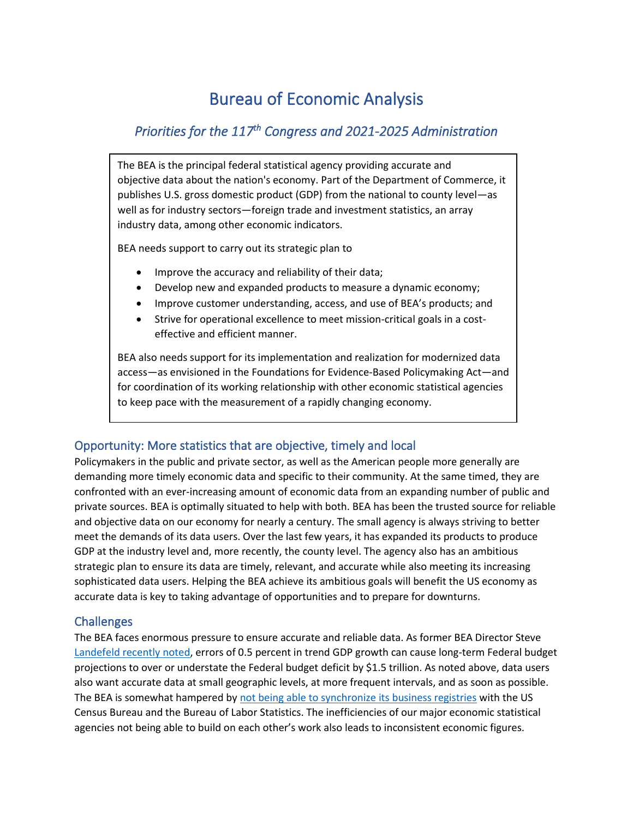# Bureau of Economic Analysis

## *Priorities for the 117th Congress and 2021-2025 Administration*

The BEA is the principal federal statistical agency providing accurate and objective data about the nation's economy. Part of the Department of Commerce, it publishes U.S. gross domestic product (GDP) from the national to county level—as well as for industry sectors—foreign trade and investment statistics, an array industry data, among other economic indicators.

BEA needs support to carry out its strategic plan to

- Improve the accuracy and reliability of their data;
- Develop new and expanded products to measure a dynamic economy;
- Improve customer understanding, access, and use of BEA's products; and
- Strive for operational excellence to meet mission-critical goals in a costeffective and efficient manner.

BEA also needs support for its implementation and realization for modernized data access—as envisioned in the Foundations for Evidence-Based Policymaking Act—and for coordination of its working relationship with other economic statistical agencies to keep pace with the measurement of a rapidly changing economy.

## Opportunity: More statistics that are objective, timely and local

Policymakers in the public and private sector, as well as the American people more generally are demanding more timely economic data and specific to their community. At the same timed, they are confronted with an ever-increasing amount of economic data from an expanding number of public and private sources. BEA is optimally situated to help with both. BEA has been the trusted source for reliable and objective data on our economy for nearly a century. The small agency is always striving to better meet the demands of its data users. Over the last few years, it has expanded its products to produce GDP at the industry level and, more recently, the county level. The agency also has an ambitious strategic plan to ensure its data are timely, relevant, and accurate while also meeting its increasing sophisticated data users. Helping the BEA achieve its ambitious goals will benefit the US economy as accurate data is key to taking advantage of opportunities and to prepare for downturns.

## **Challenges**

The BEA faces enormous pressure to ensure accurate and reliable data. As former BEA Director Steve [Landefeld recently noted,](https://www.linkedin.com/pulse/state-us-data-infrastructure-bureau-economic-analysis-steve-landefeld/?trackingId=0Dz4f%2BEe67%2BHRBKgO1u0Lg%3D%3D) errors of 0.5 percent in trend GDP growth can cause long-term Federal budget projections to over or understate the Federal budget deficit by \$1.5 trillion. As noted above, data users also want accurate data at small geographic levels, at more frequent intervals, and as soon as possible. The BEA is somewhat hampered by [not being able to synchronize its business registries](https://magazine.amstat.org/blog/2011/11/01/data-synchronizationscipolicy/) with the US Census Bureau and the Bureau of Labor Statistics. The inefficiencies of our major economic statistical agencies not being able to build on each other's work also leads to inconsistent economic figures.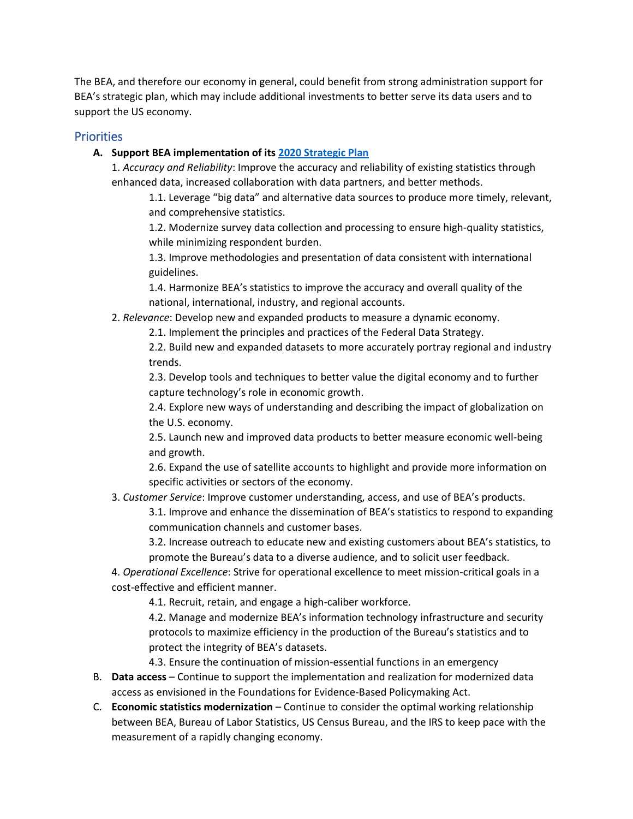The BEA, and therefore our economy in general, could benefit from strong administration support for BEA's strategic plan, which may include additional investments to better serve its data users and to support the US economy.

#### **Priorities**

#### **A. Support BEA implementation of its [2020 Strategic Plan](https://www.bea.gov/system/files/2020-07/bea-2020-strategic-plan.pdf)**

1. *Accuracy and Reliability*: Improve the accuracy and reliability of existing statistics through enhanced data, increased collaboration with data partners, and better methods.

1.1. Leverage "big data" and alternative data sources to produce more timely, relevant, and comprehensive statistics.

1.2. Modernize survey data collection and processing to ensure high-quality statistics, while minimizing respondent burden.

1.3. Improve methodologies and presentation of data consistent with international guidelines.

1.4. Harmonize BEA's statistics to improve the accuracy and overall quality of the national, international, industry, and regional accounts.

#### 2. *Relevance*: Develop new and expanded products to measure a dynamic economy.

2.1. Implement the principles and practices of the Federal Data Strategy.

2.2. Build new and expanded datasets to more accurately portray regional and industry trends.

2.3. Develop tools and techniques to better value the digital economy and to further capture technology's role in economic growth.

2.4. Explore new ways of understanding and describing the impact of globalization on the U.S. economy.

2.5. Launch new and improved data products to better measure economic well-being and growth.

2.6. Expand the use of satellite accounts to highlight and provide more information on specific activities or sectors of the economy.

#### 3. *Customer Service*: Improve customer understanding, access, and use of BEA's products.

3.1. Improve and enhance the dissemination of BEA's statistics to respond to expanding communication channels and customer bases.

3.2. Increase outreach to educate new and existing customers about BEA's statistics, to promote the Bureau's data to a diverse audience, and to solicit user feedback.

4. *Operational Excellence*: Strive for operational excellence to meet mission-critical goals in a cost-effective and efficient manner.

4.1. Recruit, retain, and engage a high-caliber workforce.

4.2. Manage and modernize BEA's information technology infrastructure and security protocols to maximize efficiency in the production of the Bureau's statistics and to protect the integrity of BEA's datasets.

4.3. Ensure the continuation of mission-essential functions in an emergency

- B. **Data access** Continue to support the implementation and realization for modernized data access as envisioned in the Foundations for Evidence-Based Policymaking Act.
- C. **Economic statistics modernization**  Continue to consider the optimal working relationship between BEA, Bureau of Labor Statistics, US Census Bureau, and the IRS to keep pace with the measurement of a rapidly changing economy.